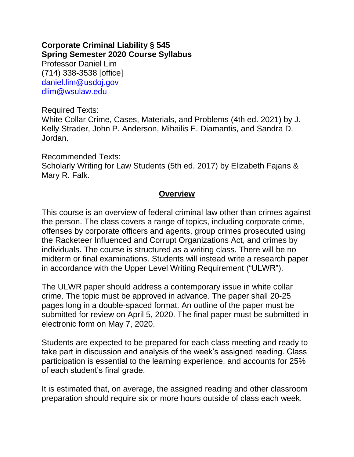#### **Corporate Criminal Liability § 545 Spring Semester 2020 Course Syllabus**

Professor Daniel Lim (714) 338-3538 [office] daniel.lim@usdoj.gov dlim@wsulaw.edu

Required Texts:

White Collar Crime, Cases, Materials, and Problems (4th ed. 2021) by J. Kelly Strader, John P. Anderson, Mihailis E. Diamantis, and Sandra D. Jordan.

Recommended Texts: Scholarly Writing for Law Students (5th ed. 2017) by Elizabeth Fajans & Mary R. Falk.

#### **Overview**

This course is an overview of federal criminal law other than crimes against the person. The class covers a range of topics, including corporate crime, offenses by corporate officers and agents, group crimes prosecuted using the Racketeer Influenced and Corrupt Organizations Act, and crimes by individuals. The course is structured as a writing class. There will be no midterm or final examinations. Students will instead write a research paper in accordance with the Upper Level Writing Requirement ("ULWR").

The ULWR paper should address a contemporary issue in white collar crime. The topic must be approved in advance. The paper shall 20-25 pages long in a double-spaced format. An outline of the paper must be submitted for review on April 5, 2020. The final paper must be submitted in electronic form on May 7, 2020.

Students are expected to be prepared for each class meeting and ready to take part in discussion and analysis of the week's assigned reading. Class participation is essential to the learning experience, and accounts for 25% of each student's final grade.

It is estimated that, on average, the assigned reading and other classroom preparation should require six or more hours outside of class each week.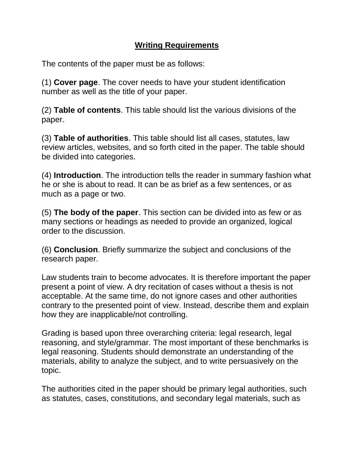### **Writing Requirements**

The contents of the paper must be as follows:

(1) **Cover page**. The cover needs to have your student identification number as well as the title of your paper.

(2) **Table of contents**. This table should list the various divisions of the paper.

(3) **Table of authorities**. This table should list all cases, statutes, law review articles, websites, and so forth cited in the paper. The table should be divided into categories.

(4) **Introduction**. The introduction tells the reader in summary fashion what he or she is about to read. It can be as brief as a few sentences, or as much as a page or two.

(5) **The body of the paper**. This section can be divided into as few or as many sections or headings as needed to provide an organized, logical order to the discussion.

(6) **Conclusion**. Briefly summarize the subject and conclusions of the research paper.

Law students train to become advocates. It is therefore important the paper present a point of view. A dry recitation of cases without a thesis is not acceptable. At the same time, do not ignore cases and other authorities contrary to the presented point of view. Instead, describe them and explain how they are inapplicable/not controlling.

Grading is based upon three overarching criteria: legal research, legal reasoning, and style/grammar. The most important of these benchmarks is legal reasoning. Students should demonstrate an understanding of the materials, ability to analyze the subject, and to write persuasively on the topic.

The authorities cited in the paper should be primary legal authorities, such as statutes, cases, constitutions, and secondary legal materials, such as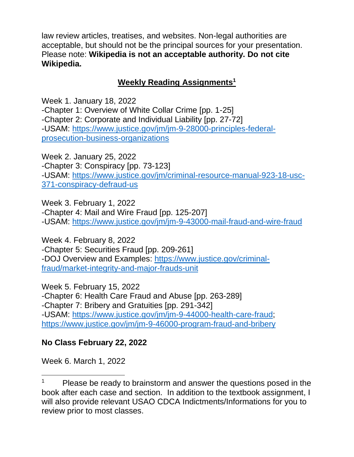law review articles, treatises, and websites. Non-legal authorities are acceptable, but should not be the principal sources for your presentation. Please note: **Wikipedia is not an acceptable authority. Do not cite Wikipedia.**

### **Weekly Reading Assignments<sup>1</sup>**

Week 1. January 18, 2022 -Chapter 1: Overview of White Collar Crime [pp. 1-25] -Chapter 2: Corporate and Individual Liability [pp. 27-72] -USAM: [https://www.justice.gov/jm/jm-9-28000-principles-federal](https://www.justice.gov/jm/jm-9-28000-principles-federal-prosecution-business-organizations)[prosecution-business-organizations](https://www.justice.gov/jm/jm-9-28000-principles-federal-prosecution-business-organizations)

Week 2. January 25, 2022 -Chapter 3: Conspiracy [pp. 73-123] -USAM: [https://www.justice.gov/jm/criminal-resource-manual-923-18-usc-](https://www.justice.gov/jm/criminal-resource-manual-923-18-usc-371-conspiracy-defraud-us)[371-conspiracy-defraud-us](https://www.justice.gov/jm/criminal-resource-manual-923-18-usc-371-conspiracy-defraud-us)

Week 3. February 1, 2022 -Chapter 4: Mail and Wire Fraud [pp. 125-207] -USAM:<https://www.justice.gov/jm/jm-9-43000-mail-fraud-and-wire-fraud>

Week 4. February 8, 2022 -Chapter 5: Securities Fraud [pp. 209-261] -DOJ Overview and Examples: [https://www.justice.gov/criminal](https://www.justice.gov/criminal-fraud/market-integrity-and-major-frauds-unit)[fraud/market-integrity-and-major-frauds-unit](https://www.justice.gov/criminal-fraud/market-integrity-and-major-frauds-unit)

Week 5. February 15, 2022 -Chapter 6: Health Care Fraud and Abuse [pp. 263-289] -Chapter 7: Bribery and Gratuities [pp. 291-342] -USAM: [https://www.justice.gov/jm/jm-9-44000-health-care-fraud;](https://www.justice.gov/jm/jm-9-44000-health-care-fraud) <https://www.justice.gov/jm/jm-9-46000-program-fraud-and-bribery>

### **No Class February 22, 2022**

Week 6. March 1, 2022

 $\overline{\phantom{a}}$ 

 $1$  Please be ready to brainstorm and answer the questions posed in the book after each case and section. In addition to the textbook assignment, I will also provide relevant USAO CDCA Indictments/Informations for you to review prior to most classes.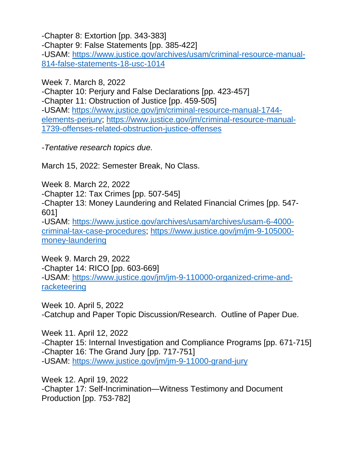-Chapter 8: Extortion [pp. 343-383]

-Chapter 9: False Statements [pp. 385-422] -USAM: [https://www.justice.gov/archives/usam/criminal-resource-manual-](https://www.justice.gov/archives/usam/criminal-resource-manual-814-false-statements-18-usc-1014)[814-false-statements-18-usc-1014](https://www.justice.gov/archives/usam/criminal-resource-manual-814-false-statements-18-usc-1014)

Week 7. March 8, 2022

-Chapter 10: Perjury and False Declarations [pp. 423-457] -Chapter 11: Obstruction of Justice [pp. 459-505] -USAM: [https://www.justice.gov/jm/criminal-resource-manual-1744](https://www.justice.gov/jm/criminal-resource-manual-1744-elements-perjury) [elements-perjury;](https://www.justice.gov/jm/criminal-resource-manual-1744-elements-perjury) [https://www.justice.gov/jm/criminal-resource-manual-](https://www.justice.gov/jm/criminal-resource-manual-1739-offenses-related-obstruction-justice-offenses)[1739-offenses-related-obstruction-justice-offenses](https://www.justice.gov/jm/criminal-resource-manual-1739-offenses-related-obstruction-justice-offenses)

*-Tentative research topics due.* 

March 15, 2022: Semester Break, No Class.

Week 8. March 22, 2022

-Chapter 12: Tax Crimes [pp. 507-545]

-Chapter 13: Money Laundering and Related Financial Crimes [pp. 547- 601]

-USAM: [https://www.justice.gov/archives/usam/archives/usam-6-4000](https://www.justice.gov/archives/usam/archives/usam-6-4000-criminal-tax-case-procedures) [criminal-tax-case-procedures;](https://www.justice.gov/archives/usam/archives/usam-6-4000-criminal-tax-case-procedures) [https://www.justice.gov/jm/jm-9-105000](https://www.justice.gov/jm/jm-9-105000-money-laundering) [money-laundering](https://www.justice.gov/jm/jm-9-105000-money-laundering)

Week 9. March 29, 2022 -Chapter 14: RICO [pp. 603-669] -USAM: [https://www.justice.gov/jm/jm-9-110000-organized-crime-and](https://www.justice.gov/jm/jm-9-110000-organized-crime-and-racketeering)[racketeering](https://www.justice.gov/jm/jm-9-110000-organized-crime-and-racketeering)

Week 10. April 5, 2022 -Catchup and Paper Topic Discussion/Research. Outline of Paper Due.

Week 11. April 12, 2022 -Chapter 15: Internal Investigation and Compliance Programs [pp. 671-715] -Chapter 16: The Grand Jury [pp. 717-751] -USAM:<https://www.justice.gov/jm/jm-9-11000-grand-jury>

Week 12. April 19, 2022 -Chapter 17: Self-Incrimination—Witness Testimony and Document Production [pp. 753-782]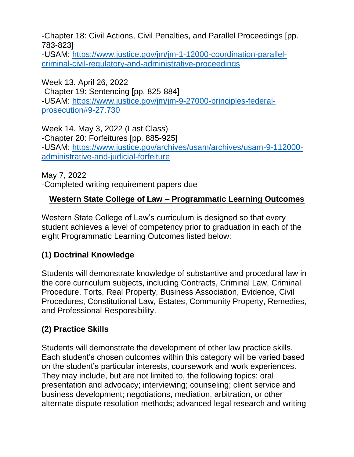-Chapter 18: Civil Actions, Civil Penalties, and Parallel Proceedings [pp. 783-823]

-USAM: [https://www.justice.gov/jm/jm-1-12000-coordination-parallel](https://www.justice.gov/jm/jm-1-12000-coordination-parallel-criminal-civil-regulatory-and-administrative-proceedings)[criminal-civil-regulatory-and-administrative-proceedings](https://www.justice.gov/jm/jm-1-12000-coordination-parallel-criminal-civil-regulatory-and-administrative-proceedings)

Week 13. April 26, 2022 -Chapter 19: Sentencing [pp. 825-884] -USAM: [https://www.justice.gov/jm/jm-9-27000-principles-federal](https://www.justice.gov/jm/jm-9-27000-principles-federal-prosecution#9-27.730)[prosecution#9-27.730](https://www.justice.gov/jm/jm-9-27000-principles-federal-prosecution#9-27.730)

Week 14. May 3, 2022 (Last Class) -Chapter 20: Forfeitures [pp. 885-925] -USAM: [https://www.justice.gov/archives/usam/archives/usam-9-112000](https://www.justice.gov/archives/usam/archives/usam-9-112000-administrative-and-judicial-forfeiture) [administrative-and-judicial-forfeiture](https://www.justice.gov/archives/usam/archives/usam-9-112000-administrative-and-judicial-forfeiture)

May 7, 2022 -Completed writing requirement papers due

### **Western State College of Law – Programmatic Learning Outcomes**

Western State College of Law's curriculum is designed so that every student achieves a level of competency prior to graduation in each of the eight Programmatic Learning Outcomes listed below:

### **(1) Doctrinal Knowledge**

Students will demonstrate knowledge of substantive and procedural law in the core curriculum subjects, including Contracts, Criminal Law, Criminal Procedure, Torts, Real Property, Business Association, Evidence, Civil Procedures, Constitutional Law, Estates, Community Property, Remedies, and Professional Responsibility.

# **(2) Practice Skills**

Students will demonstrate the development of other law practice skills. Each student's chosen outcomes within this category will be varied based on the student's particular interests, coursework and work experiences. They may include, but are not limited to, the following topics: oral presentation and advocacy; interviewing; counseling; client service and business development; negotiations, mediation, arbitration, or other alternate dispute resolution methods; advanced legal research and writing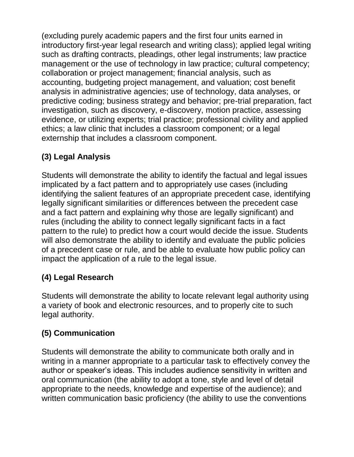(excluding purely academic papers and the first four units earned in introductory first-year legal research and writing class); applied legal writing such as drafting contracts, pleadings, other legal instruments; law practice management or the use of technology in law practice; cultural competency; collaboration or project management; financial analysis, such as accounting, budgeting project management, and valuation; cost benefit analysis in administrative agencies; use of technology, data analyses, or predictive coding; business strategy and behavior; pre-trial preparation, fact investigation, such as discovery, e-discovery, motion practice, assessing evidence, or utilizing experts; trial practice; professional civility and applied ethics; a law clinic that includes a classroom component; or a legal externship that includes a classroom component.

# **(3) Legal Analysis**

Students will demonstrate the ability to identify the factual and legal issues implicated by a fact pattern and to appropriately use cases (including identifying the salient features of an appropriate precedent case, identifying legally significant similarities or differences between the precedent case and a fact pattern and explaining why those are legally significant) and rules (including the ability to connect legally significant facts in a fact pattern to the rule) to predict how a court would decide the issue. Students will also demonstrate the ability to identify and evaluate the public policies of a precedent case or rule, and be able to evaluate how public policy can impact the application of a rule to the legal issue.

# **(4) Legal Research**

Students will demonstrate the ability to locate relevant legal authority using a variety of book and electronic resources, and to properly cite to such legal authority.

# **(5) Communication**

Students will demonstrate the ability to communicate both orally and in writing in a manner appropriate to a particular task to effectively convey the author or speaker's ideas. This includes audience sensitivity in written and oral communication (the ability to adopt a tone, style and level of detail appropriate to the needs, knowledge and expertise of the audience); and written communication basic proficiency (the ability to use the conventions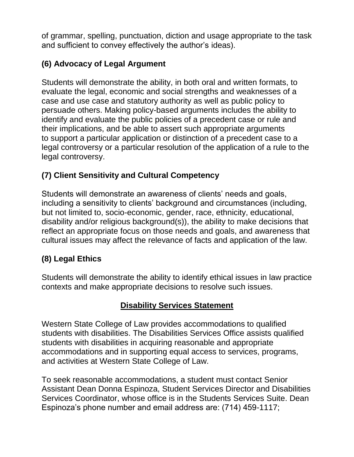of grammar, spelling, punctuation, diction and usage appropriate to the task and sufficient to convey effectively the author's ideas).

# **(6) Advocacy of Legal Argument**

Students will demonstrate the ability, in both oral and written formats, to evaluate the legal, economic and social strengths and weaknesses of a case and use case and statutory authority as well as public policy to persuade others. Making policy-based arguments includes the ability to identify and evaluate the public policies of a precedent case or rule and their implications, and be able to assert such appropriate arguments to support a particular application or distinction of a precedent case to a legal controversy or a particular resolution of the application of a rule to the legal controversy.

# **(7) Client Sensitivity and Cultural Competency**

Students will demonstrate an awareness of clients' needs and goals, including a sensitivity to clients' background and circumstances (including, but not limited to, socio-economic, gender, race, ethnicity, educational, disability and/or religious background(s)), the ability to make decisions that reflect an appropriate focus on those needs and goals, and awareness that cultural issues may affect the relevance of facts and application of the law.

# **(8) Legal Ethics**

Students will demonstrate the ability to identify ethical issues in law practice contexts and make appropriate decisions to resolve such issues.

# **Disability Services Statement**

Western State College of Law provides accommodations to qualified students with disabilities. The Disabilities Services Office assists qualified students with disabilities in acquiring reasonable and appropriate accommodations and in supporting equal access to services, programs, and activities at Western State College of Law.

To seek reasonable accommodations, a student must contact Senior Assistant Dean Donna Espinoza, Student Services Director and Disabilities Services Coordinator, whose office is in the Students Services Suite. Dean Espinoza's phone number and email address are: (714) 459-1117;